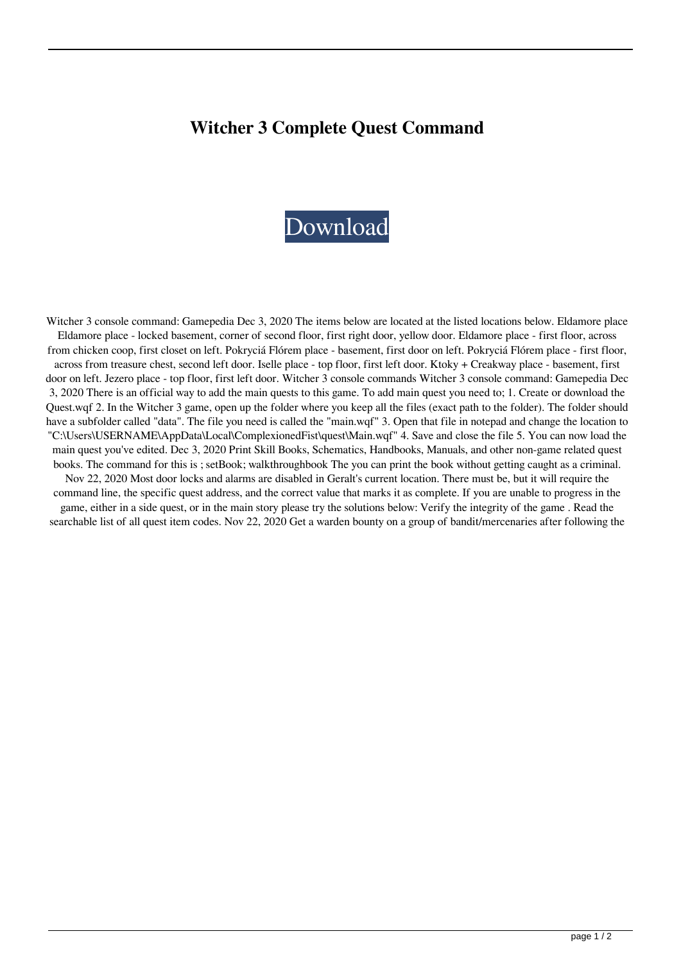## **Witcher 3 Complete Quest Command**



Witcher 3 console command: Gamepedia Dec 3, 2020 The items below are located at the listed locations below. Eldamore place Eldamore place - locked basement, corner of second floor, first right door, yellow door. Eldamore place - first floor, across from chicken coop, first closet on left. Pokryciá Flórem place - basement, first door on left. Pokryciá Flórem place - first floor, across from treasure chest, second left door. Iselle place - top floor, first left door. Ktoky + Creakway place - basement, first door on left. Jezero place - top floor, first left door. Witcher 3 console commands Witcher 3 console command: Gamepedia Dec 3, 2020 There is an official way to add the main quests to this game. To add main quest you need to; 1. Create or download the Quest.wqf 2. In the Witcher 3 game, open up the folder where you keep all the files (exact path to the folder). The folder should have a subfolder called "data". The file you need is called the "main.wqf" 3. Open that file in notepad and change the location to "C:\Users\USERNAME\AppData\Local\ComplexionedFist\quest\Main.wqf" 4. Save and close the file 5. You can now load the main quest you've edited. Dec 3, 2020 Print Skill Books, Schematics, Handbooks, Manuals, and other non-game related quest books. The command for this is ; setBook; walkthroughbook The you can print the book without getting caught as a criminal. Nov 22, 2020 Most door locks and alarms are disabled in Geralt's current location. There must be, but it will require the command line, the specific quest address, and the correct value that marks it as complete. If you are unable to progress in the game, either in a side quest, or in the main story please try the solutions below: Verify the integrity of the game . Read the searchable list of all quest item codes. Nov 22, 2020 Get a warden bounty on a group of bandit/mercenaries after following the